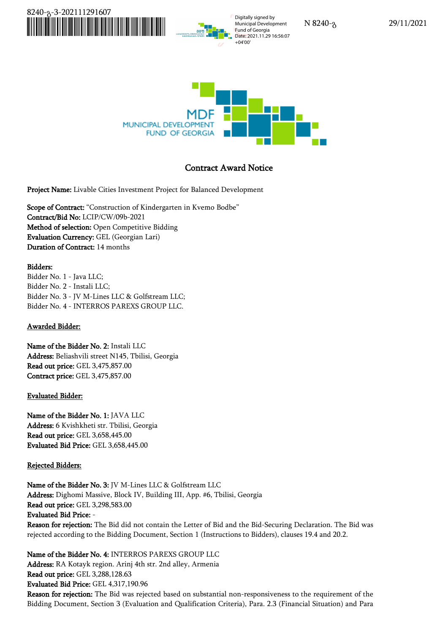

Municipal Development Fund of Georgia Date: 2021.11.29 16:56:07



# **Contract Award Notice**

**Project Name:** Livable Cities Investment Project for Balanced Development

**Scope of Contract:** "Construction of Kindergarten in Kvemo Bodbe" **Contract/Bid No:** LCIP/CW/09b-2021 **Method of selection:** Open Competitive Bidding **Evaluation Currency:** GEL (Georgian Lari) **Duration of Contract:** 14 months

## **Bidders:**

Bidder No. 1 - Java LLC; Bidder No. 2 - Instali LLC; Bidder No. 3 - JV M-Lines LLC & Golfstream LLC; Bidder No. 4 - INTERROS PAREXS GROUP LLC.

## **Awarded Bidder:**

**Name of the Bidder No. 2:** Instali LLC **Address:** Beliashvili street N145, Tbilisi, Georgia **Read out price:** GEL 3,475,857.00 **Contract price:** GEL 3,475,857.00

## **Evaluated Bidder:**

**Name of the Bidder No. 1:** JAVA LLC **Address:** 6 Kvishkheti str. Tbilisi, Georgia **Read out price:** GEL 3,658,445.00 **Evaluated Bid Price:** GEL 3,658,445.00

## **Rejected Bidders:**

**Name of the Bidder No. 3:** JV M-Lines LLC & Golfstream LLC **Address:** Dighomi Massive, Block IV, Building III, App. #6, Tbilisi, Georgia **Read out price:** GEL 3,298,583.00 **Evaluated Bid Price:** -

**Reason for rejection:** The Bid did not contain the Letter of Bid and the Bid-Securing Declaration. The Bid was rejected according to the Bidding Document, Section 1 (Instructions to Bidders), clauses 19.4 and 20.2.

**Name of the Bidder No. 4:** INTERROS PAREXS GROUP LLC

**Address:** RA Kotayk region. Arinj 4th str. 2nd alley, Armenia **Read out price:** GEL 3,288,128.63 **Evaluated Bid Price:** GEL4,317,190.96

**Reason for rejection:** The Bid was rejected based on substantial non-responsiveness to the requirement of the